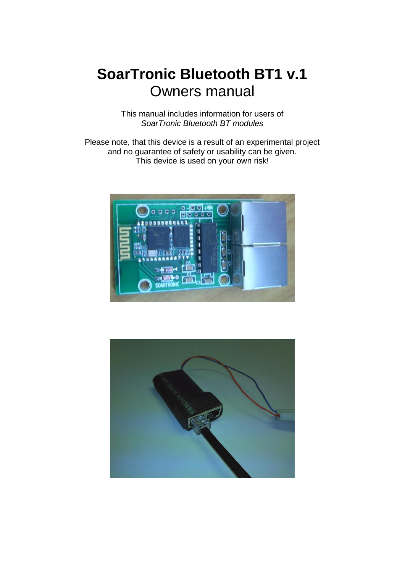# **SoarTronic Bluetooth BT1 v.1** Owners manual

This manual includes information for users of *SoarTronic Bluetooth BT modules*

Please note, that this device is a result of an experimental project and no guarantee of safety or usability can be given. This device is used on your own risk!



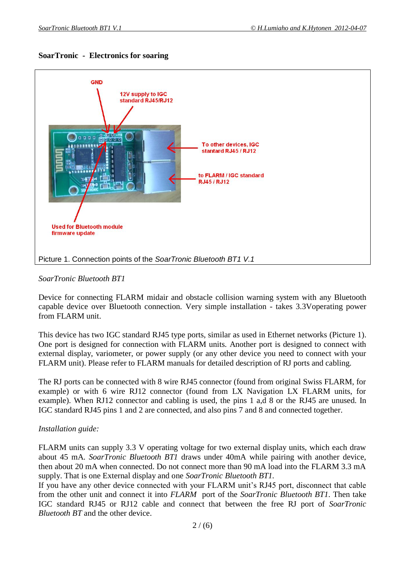



### *SoarTronic Bluetooth BT1*

Device for connecting FLARM midair and obstacle collision warning system with any Bluetooth capable device over Bluetooth connection. Very simple installation - takes 3.3Voperating power from FLARM unit.

This device has two IGC standard RJ45 type ports, similar as used in Ethernet networks (Picture 1). One port is designed for connection with FLARM units. Another port is designed to connect with external display, variometer, or power supply (or any other device you need to connect with your FLARM unit). Please refer to FLARM manuals for detailed description of RJ ports and cabling.

The RJ ports can be connected with 8 wire RJ45 connector (found from original Swiss FLARM, for example) or with 6 wire RJ12 connector (found from LX Navigation LX FLARM units, for example). When RJ12 connector and cabling is used, the pins 1 a,d 8 or the RJ45 are unused. In IGC standard RJ45 pins 1 and 2 are connected, and also pins 7 and 8 and connected together.

### *Installation guide:*

FLARM units can supply 3.3 V operating voltage for two external display units, which each draw about 45 mA. *SoarTronic Bluetooth BT1* draws under 40mA while pairing with another device, then about 20 mA when connected. Do not connect more than 90 mA load into the FLARM 3.3 mA supply. That is one External display and one *SoarTronic Bluetooth BT1.*

If you have any other device connected with your FLARM unit's RJ45 port, disconnect that cable from the other unit and connect it into *FLARM* port of the *SoarTronic Bluetooth BT1*. Then take IGC standard RJ45 or RJ12 cable and connect that between the free RJ port of *SoarTronic Bluetooth BT* and the other device.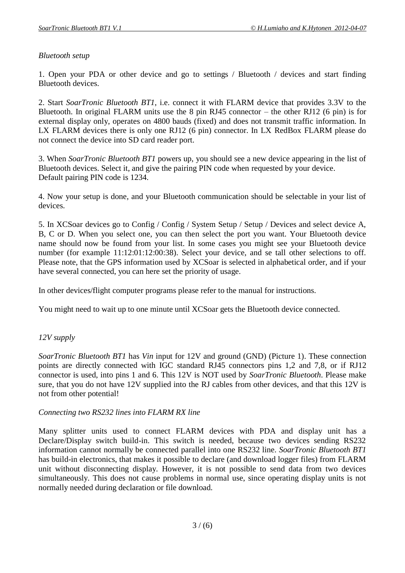## *Bluetooth setup*

1. Open your PDA or other device and go to settings / Bluetooth / devices and start finding Bluetooth devices.

2. Start *SoarTronic Bluetooth BT1*, i.e. connect it with FLARM device that provides 3.3V to the Bluetooth. In original FLARM units use the 8 pin RJ45 connector – the other RJ12 (6 pin) is for external display only, operates on 4800 bauds (fixed) and does not transmit traffic information. In LX FLARM devices there is only one RJ12 (6 pin) connector. In LX RedBox FLARM please do not connect the device into SD card reader port.

3. When *SoarTronic Bluetooth BT1* powers up, you should see a new device appearing in the list of Bluetooth devices. Select it, and give the pairing PIN code when requested by your device. Default pairing PIN code is 1234.

4. Now your setup is done, and your Bluetooth communication should be selectable in your list of devices.

5. In XCSoar devices go to Config / Config / System Setup / Setup / Devices and select device A, B, C or D. When you select one, you can then select the port you want. Your Bluetooth device name should now be found from your list. In some cases you might see your Bluetooth device number (for example 11:12:01:12:00:38). Select your device, and se tall other selections to off. Please note, that the GPS information used by XCSoar is selected in alphabetical order, and if your have several connected, you can here set the priority of usage.

In other devices/flight computer programs please refer to the manual for instructions.

You might need to wait up to one minute until XCSoar gets the Bluetooth device connected.

### *12V supply*

*SoarTronic Bluetooth BT1* has *Vin* input for 12V and ground (GND) (Picture 1). These connection points are directly connected with IGC standard RJ45 connectors pins 1,2 and 7,8, or if RJ12 connector is used, into pins 1 and 6. This 12V is NOT used by *SoarTronic Bluetooth*. Please make sure, that you do not have 12V supplied into the RJ cables from other devices, and that this 12V is not from other potential!

### *Connecting two RS232 lines into FLARM RX line*

Many splitter units used to connect FLARM devices with PDA and display unit has a Declare/Display switch build-in. This switch is needed, because two devices sending RS232 information cannot normally be connected parallel into one RS232 line. *SoarTronic Bluetooth BT1* has build-in electronics, that makes it possible to declare (and download logger files) from FLARM unit without disconnecting display. However, it is not possible to send data from two devices simultaneously. This does not cause problems in normal use, since operating display units is not normally needed during declaration or file download.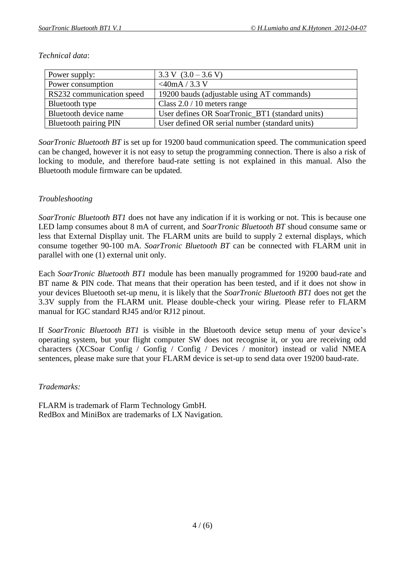| Power supply:                | $3.3 \text{ V}$ $(3.0 - 3.6 \text{ V})$         |
|------------------------------|-------------------------------------------------|
| Power consumption            | $<$ 40mA / 3.3 V                                |
| RS232 communication speed    | 19200 bauds (adjustable using AT commands)      |
| Bluetooth type               | Class $2.0 / 10$ meters range                   |
| Bluetooth device name        | User defines OR SoarTronic_BT1 (standard units) |
| <b>Bluetooth pairing PIN</b> | User defined OR serial number (standard units)  |

#### *Technical data*:

*SoarTronic Bluetooth BT* is set up for 19200 baud communication speed. The communication speed can be changed, however it is not easy to setup the programming connection. There is also a risk of locking to module, and therefore baud-rate setting is not explained in this manual. Also the Bluetooth module firmware can be updated.

## *Troubleshooting*

*SoarTronic Bluetooth BT1* does not have any indication if it is working or not. This is because one LED lamp consumes about 8 mA of current, and *SoarTronic Bluetooth BT* shoud consume same or less that External Displlay unit. The FLARM units are build to supply 2 external displays, which consume together 90-100 mA. *SoarTronic Bluetooth BT* can be connected with FLARM unit in parallel with one (1) external unit only.

Each *SoarTronic Bluetooth BT1* module has been manually programmed for 19200 baud-rate and BT name & PIN code. That means that their operation has been tested, and if it does not show in your devices Bluetooth set-up menu, it is likely that the *SoarTronic Bluetooth BT1* does not get the 3.3V supply from the FLARM unit. Please double-check your wiring. Please refer to FLARM manual for IGC standard RJ45 and/or RJ12 pinout.

If *SoarTronic Bluetooth BT1* is visible in the Bluetooth device setup menu of your device's operating system, but your flight computer SW does not recognise it, or you are receiving odd characters (XCSoar Config / Gonfig / Config / Devices / monitor) instead or valid NMEA sentences, please make sure that your FLARM device is set-up to send data over 19200 baud-rate.

### *Trademarks:*

FLARM is trademark of Flarm Technology GmbH. RedBox and MiniBox are trademarks of LX Navigation.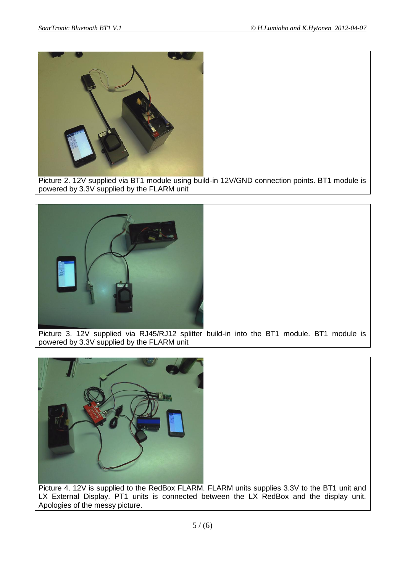

Picture 2. 12V supplied via BT1 module using build-in 12V/GND connection points. BT1 module is powered by 3.3V supplied by the FLARM unit



Picture 3. 12V supplied via RJ45/RJ12 splitter build-in into the BT1 module. BT1 module is powered by 3.3V supplied by the FLARM unit



Picture 4. 12V is supplied to the RedBox FLARM. FLARM units supplies 3.3V to the BT1 unit and LX External Display. PT1 units is connected between the LX RedBox and the display unit. Apologies of the messy picture.